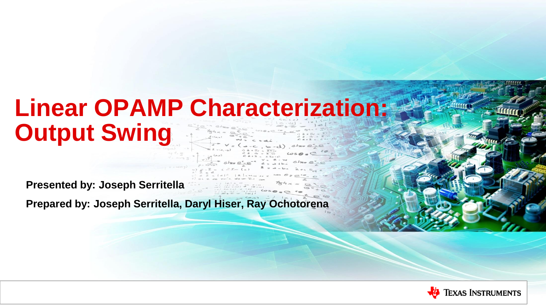# **Linear OPAMP Characterization: Output Swing**

**Presented by: Joseph Serritella**

**Prepared by: Joseph Serritella, Daryl Hiser, Ray Ochotorena**

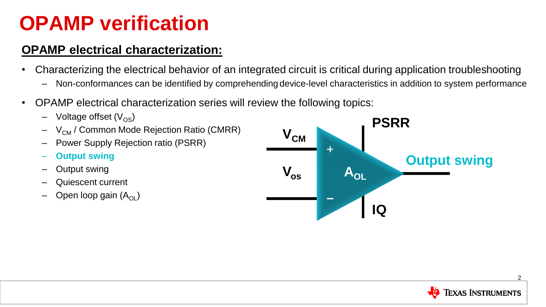### **OPAMP verification**

#### **OPAMP electrical characterization:**

- Characterizing the electrical behavior of an integrated circuit is critical during application troubleshooting
	- Non-conformances can be identified by comprehending device-level characteristics in addition to system performance
- OPAMP electrical characterization series will review the following topics:
	- $-$  Voltage offset (V<sub>OS</sub>)
	- $-$  V<sub>CM</sub> / Common Mode Rejection Ratio (CMRR)
	- Power Supply Rejection ratio (PSRR)
	- **Output swing**
	- Output swing
	- Quiescent current
	- Open loop gain  $(A_{\Omega})$



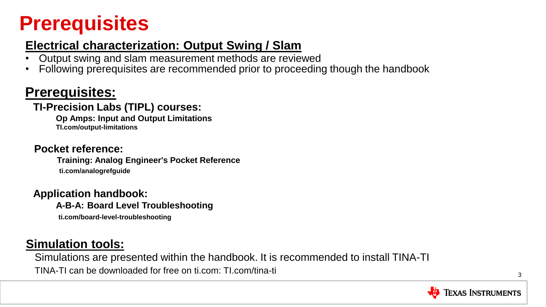### **Prerequisites**

### **Electrical characterization: Output Swing / Slam**

- Output swing and slam measurement methods are reviewed
- Following prerequisites are recommended prior to proceeding though the handbook

### **Prerequisites:**

#### **TI-Precision Labs (TIPL) courses:**

**Op Amps: Input and Output Limitations TI.com/output-limitations**

#### **Pocket reference:**

**Training: Analog Engineer's Pocket Reference ti.com/analogrefguide**

**Application handbook: A-B-A: Board Level Troubleshooting**

**ti.com/board-level-troubleshooting**

### **Simulation tools:**

 Simulations are presented within the handbook. It is recommended to install TINA-TI TINA-TI can be downloaded for free on ti.com: TI.com/tina-ti

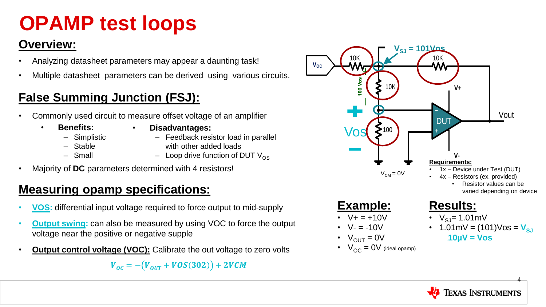## **OPAMP test loops**

### **Overview:**

- Analyzing datasheet parameters may appear a daunting task!
- Multiple datasheet parameters can be derived using various circuits.

### **False Summing Junction (FSJ):**

- Commonly used circuit to measure offset voltage of an amplifier
	- **Benefits:**
- **Disadvantages:**
- ‒ Simplistic
- ‒ Stable
- $-$  Small
- - Feedback resistor load in parallel with other added loads
	- $-$  Loop drive function of DUT V<sub>OS</sub>
- Majority of **DC** parameters determined with 4 resistors!

### **Measuring opamp specifications:**

- **VOS:** differential input voltage required to force output to mid-supply
- **Output swing:** can also be measured by using VOC to force the output voltage near the positive or negative supple
- **Output control voltage (VOC):** Calibrate the out voltage to zero volts

 $V_{OC} = - (V_{OUT} + VOS(302)) + 2VCM$ 



•  $V_{OC} = 0V$  (ideal opamp)

4 **TEXAS INSTRUMENTS**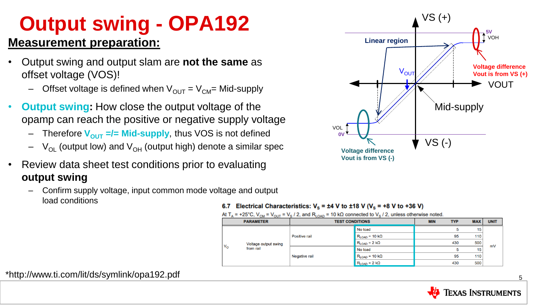# **Output swing - OPA192**

#### **Measurement preparation:**

- Output swing and output slam are **not the same** as offset voltage (VOS)!
	- Offset voltage is defined when  $V_{\text{OUT}} = V_{\text{CM}}$ = Mid-supply
- **Output swing:** How close the output voltage of the opamp can reach the positive or negative supply voltage
	- Therefore  $V_{\text{OUT}} =$ /= Mid-supply, thus VOS is not defined
	- $-V_{\text{OL}}$  (output low) and  $V_{\text{OH}}$  (output high) denote a similar spec
- Review data sheet test conditions prior to evaluating **output swing**
	- Confirm supply voltage, input common mode voltage and output load conditions



#### 6.7 Electrical Characteristics:  $V_s = \pm 4$  V to  $\pm 18$  V ( $V_s = +8$  V to +36 V)

At T<sub>A</sub> = +25°C, V<sub>CM</sub> = V<sub>OUT</sub> = V<sub>S</sub> / 2, and R<sub>LOAD</sub> = 10 kΩ connected to V<sub>S</sub> / 2, unless otherwise noted.

|              | <b>PARAMETER</b>                  | <b>TEST CONDITIONS</b> |                                       | <b>MIN</b> | <b>TYP</b> | <b>MAX</b> | <b>UNIT</b> |
|--------------|-----------------------------------|------------------------|---------------------------------------|------------|------------|------------|-------------|
| $V_{\Omega}$ | Voltage output swing<br>from rail | Positive rail          | No load                               |            | 5          | 15         | mV          |
|              |                                   |                        | $R_{LOAD}$ = 10 k $\Omega$            |            | 95         | 110        |             |
|              |                                   |                        | $R_{\text{LOAD}} = 2 \text{ k}\Omega$ |            | 430        | 500        |             |
|              |                                   | <b>Negative rail</b>   | No load                               |            | 5          | 15         |             |
|              |                                   |                        | $R_{\text{LOAD}}$ = 10 k $\Omega$     |            | 95         | 110        |             |
|              |                                   |                        | $R_{\text{LOAD}} = 2 \text{ k}\Omega$ |            | 430        | 500        |             |